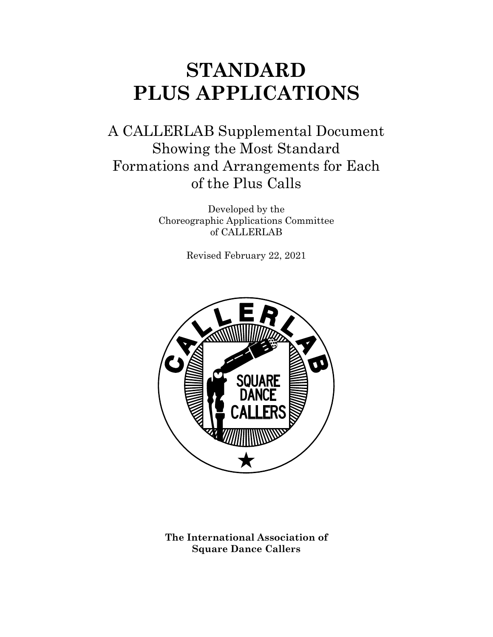# **STANDARD PLUS APPLICATIONS**

A CALLERLAB Supplemental Document Showing the Most Standard Formations and Arrangements for Each of the Plus Calls

> Developed by the Choreographic Applications Committee of CALLERLAB

> > Revised February 22, 2021



**The International Association of Square Dance Callers**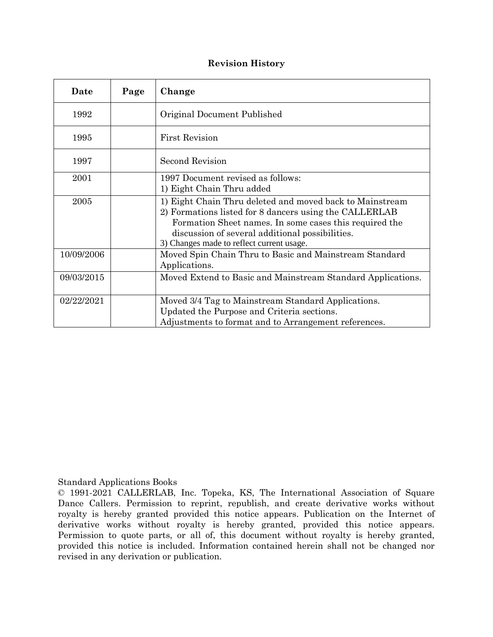#### **Revision History**

| Date       | Page | Change                                                                                                                                                                                                                                                                       |
|------------|------|------------------------------------------------------------------------------------------------------------------------------------------------------------------------------------------------------------------------------------------------------------------------------|
| 1992       |      | Original Document Published                                                                                                                                                                                                                                                  |
| 1995       |      | <b>First Revision</b>                                                                                                                                                                                                                                                        |
| 1997       |      | Second Revision                                                                                                                                                                                                                                                              |
| 2001       |      | 1997 Document revised as follows:<br>1) Eight Chain Thru added                                                                                                                                                                                                               |
| 2005       |      | 1) Eight Chain Thru deleted and moved back to Mainstream<br>2) Formations listed for 8 dancers using the CALLERLAB<br>Formation Sheet names. In some cases this required the<br>discussion of several additional possibilities.<br>3) Changes made to reflect current usage. |
| 10/09/2006 |      | Moved Spin Chain Thru to Basic and Mainstream Standard<br>Applications.                                                                                                                                                                                                      |
| 09/03/2015 |      | Moved Extend to Basic and Mainstream Standard Applications.                                                                                                                                                                                                                  |
| 02/22/2021 |      | Moved 3/4 Tag to Mainstream Standard Applications.<br>Updated the Purpose and Criteria sections.<br>Adjustments to format and to Arrangement references.                                                                                                                     |

#### Standard Applications Books

© 1991-2021 CALLERLAB, Inc. Topeka, KS, The International Association of Square Dance Callers. Permission to reprint, republish, and create derivative works without royalty is hereby granted provided this notice appears. Publication on the Internet of derivative works without royalty is hereby granted, provided this notice appears. Permission to quote parts, or all of, this document without royalty is hereby granted, provided this notice is included. Information contained herein shall not be changed nor revised in any derivation or publication.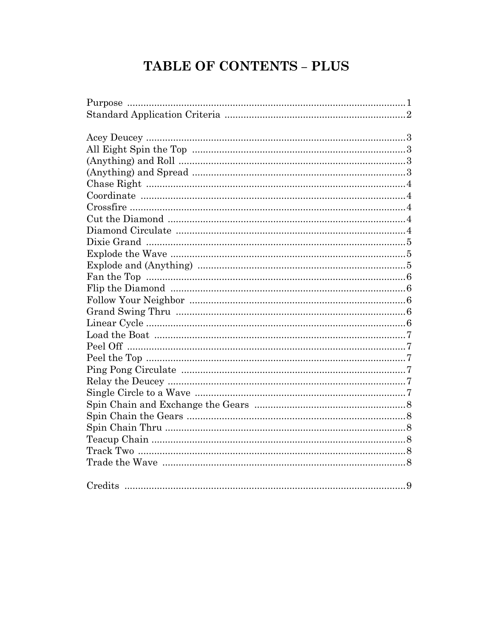# **TABLE OF CONTENTS - PLUS**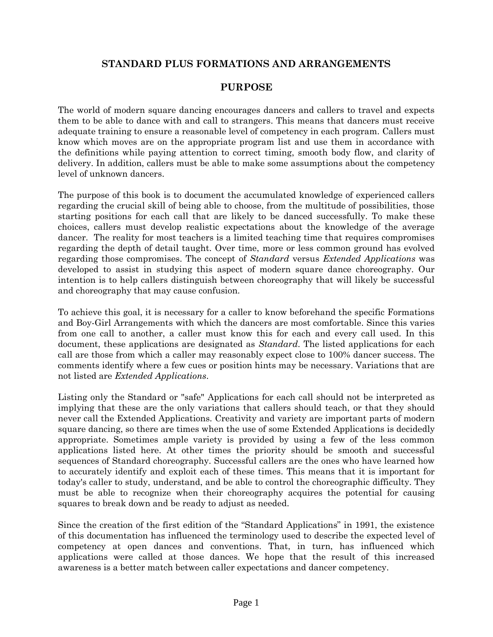# **STANDARD PLUS FORMATIONS AND ARRANGEMENTS**

# **PURPOSE**

The world of modern square dancing encourages dancers and callers to travel and expects them to be able to dance with and call to strangers. This means that dancers must receive adequate training to ensure a reasonable level of competency in each program. Callers must know which moves are on the appropriate program list and use them in accordance with the definitions while paying attention to correct timing, smooth body flow, and clarity of delivery. In addition, callers must be able to make some assumptions about the competency level of unknown dancers.

The purpose of this book is to document the accumulated knowledge of experienced callers regarding the crucial skill of being able to choose, from the multitude of possibilities, those starting positions for each call that are likely to be danced successfully. To make these choices, callers must develop realistic expectations about the knowledge of the average dancer. The reality for most teachers is a limited teaching time that requires compromises regarding the depth of detail taught. Over time, more or less common ground has evolved regarding those compromises. The concept of *Standard* versus *Extended Applications* was developed to assist in studying this aspect of modern square dance choreography. Our intention is to help callers distinguish between choreography that will likely be successful and choreography that may cause confusion.

To achieve this goal, it is necessary for a caller to know beforehand the specific Formations and Boy-Girl Arrangements with which the dancers are most comfortable. Since this varies from one call to another, a caller must know this for each and every call used. In this document, these applications are designated as *Standard*. The listed applications for each call are those from which a caller may reasonably expect close to 100% dancer success. The comments identify where a few cues or position hints may be necessary. Variations that are not listed are *Extended Applications*.

Listing only the Standard or "safe" Applications for each call should not be interpreted as implying that these are the only variations that callers should teach, or that they should never call the Extended Applications. Creativity and variety are important parts of modern square dancing, so there are times when the use of some Extended Applications is decidedly appropriate. Sometimes ample variety is provided by using a few of the less common applications listed here. At other times the priority should be smooth and successful sequences of Standard choreography. Successful callers are the ones who have learned how to accurately identify and exploit each of these times. This means that it is important for today's caller to study, understand, and be able to control the choreographic difficulty. They must be able to recognize when their choreography acquires the potential for causing squares to break down and be ready to adjust as needed.

Since the creation of the first edition of the "Standard Applications" in 1991, the existence of this documentation has influenced the terminology used to describe the expected level of competency at open dances and conventions. That, in turn, has influenced which applications were called at those dances. We hope that the result of this increased awareness is a better match between caller expectations and dancer competency.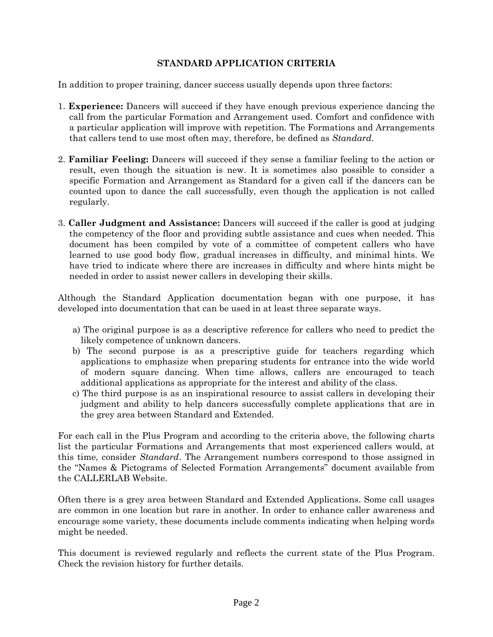### **STANDARD APPLICATION CRITERIA**

In addition to proper training, dancer success usually depends upon three factors:

- 1. **Experience:** Dancers will succeed if they have enough previous experience dancing the call from the particular Formation and Arrangement used. Comfort and confidence with a particular application will improve with repetition. The Formations and Arrangements that callers tend to use most often may, therefore, be defined as *Standard*.
- 2. **Familiar Feeling:** Dancers will succeed if they sense a familiar feeling to the action or result, even though the situation is new. It is sometimes also possible to consider a specific Formation and Arrangement as Standard for a given call if the dancers can be counted upon to dance the call successfully, even though the application is not called regularly.
- 3. **Caller Judgment and Assistance:** Dancers will succeed if the caller is good at judging the competency of the floor and providing subtle assistance and cues when needed. This document has been compiled by vote of a committee of competent callers who have learned to use good body flow, gradual increases in difficulty, and minimal hints. We have tried to indicate where there are increases in difficulty and where hints might be needed in order to assist newer callers in developing their skills.

Although the Standard Application documentation began with one purpose, it has developed into documentation that can be used in at least three separate ways.

- a) The original purpose is as a descriptive reference for callers who need to predict the likely competence of unknown dancers.
- b) The second purpose is as a prescriptive guide for teachers regarding which applications to emphasize when preparing students for entrance into the wide world of modern square dancing. When time allows, callers are encouraged to teach additional applications as appropriate for the interest and ability of the class.
- c) The third purpose is as an inspirational resource to assist callers in developing their judgment and ability to help dancers successfully complete applications that are in the grey area between Standard and Extended.

For each call in the Plus Program and according to the criteria above, the following charts list the particular Formations and Arrangements that most experienced callers would, at this time, consider *Standard*. The Arrangement numbers correspond to those assigned in the "Names & Pictograms of Selected Formation Arrangements" document available from the CALLERLAB Website.

Often there is a grey area between Standard and Extended Applications. Some call usages are common in one location but rare in another. In order to enhance caller awareness and encourage some variety, these documents include comments indicating when helping words might be needed.

This document is reviewed regularly and reflects the current state of the Plus Program. Check the revision history for further details.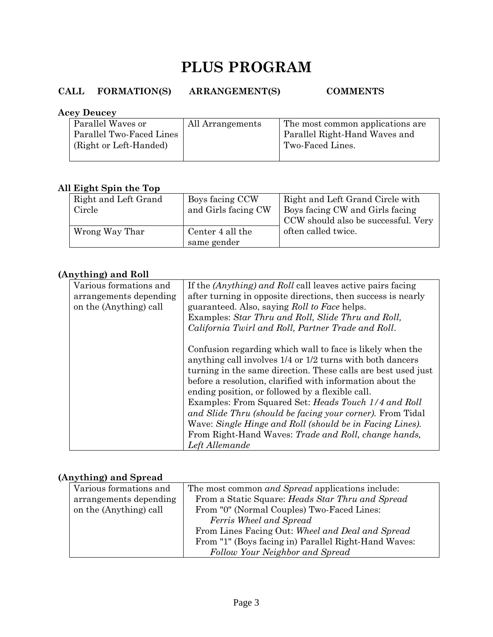# **PLUS PROGRAM**

# **CALL FORMATION(S) ARRANGEMENT(S) COMMENTS**

#### **Acey Deucey**

| Parallel Waves or        | All Arrangements | The most common applications are |
|--------------------------|------------------|----------------------------------|
| Parallel Two-Faced Lines |                  | Parallel Right-Hand Waves and    |
| (Right or Left-Handed)   |                  | Two-Faced Lines.                 |
|                          |                  |                                  |

### **All Eight Spin the Top**

| Right and Left Grand | Boys facing CCW     | Right and Left Grand Circle with    |
|----------------------|---------------------|-------------------------------------|
| Circle               | and Girls facing CW | Boys facing CW and Girls facing     |
|                      |                     | CCW should also be successful. Very |
| Wrong Way Thar       | Center 4 all the    | often called twice.                 |
|                      | same gender         |                                     |

# **(Anything) and Roll**

| Various formations and<br>arrangements depending | If the <i>(Anything)</i> and <i>Roll</i> call leaves active pairs facing<br>after turning in opposite directions, then success is nearly                                                                                                                                                                                                                                                                                                                                                                                                                            |
|--------------------------------------------------|---------------------------------------------------------------------------------------------------------------------------------------------------------------------------------------------------------------------------------------------------------------------------------------------------------------------------------------------------------------------------------------------------------------------------------------------------------------------------------------------------------------------------------------------------------------------|
| on the (Anything) call                           | guaranteed. Also, saying Roll to Face helps.                                                                                                                                                                                                                                                                                                                                                                                                                                                                                                                        |
|                                                  | Examples: Star Thru and Roll, Slide Thru and Roll,                                                                                                                                                                                                                                                                                                                                                                                                                                                                                                                  |
|                                                  | California Twirl and Roll, Partner Trade and Roll.                                                                                                                                                                                                                                                                                                                                                                                                                                                                                                                  |
|                                                  | Confusion regarding which wall to face is likely when the<br>anything call involves 1/4 or 1/2 turns with both dancers<br>turning in the same direction. These calls are best used just<br>before a resolution, clarified with information about the<br>ending position, or followed by a flexible call.<br>Examples: From Squared Set: Heads Touch 1/4 and Roll<br>and Slide Thru (should be facing your corner). From Tidal<br>Wave: Single Hinge and Roll (should be in Facing Lines).<br>From Right-Hand Waves: Trade and Roll, change hands,<br>Left Allemande |

# **(Anything) and Spread**

| Various formations and | The most common <i>and Spread</i> applications include: |  |
|------------------------|---------------------------------------------------------|--|
| arrangements depending | From a Static Square: Heads Star Thru and Spread        |  |
| on the (Anything) call | From "0" (Normal Couples) Two-Faced Lines:              |  |
|                        | Ferris Wheel and Spread                                 |  |
|                        | From Lines Facing Out: Wheel and Deal and Spread        |  |
|                        | From "1" (Boys facing in) Parallel Right-Hand Waves:    |  |
|                        | Follow Your Neighbor and Spread                         |  |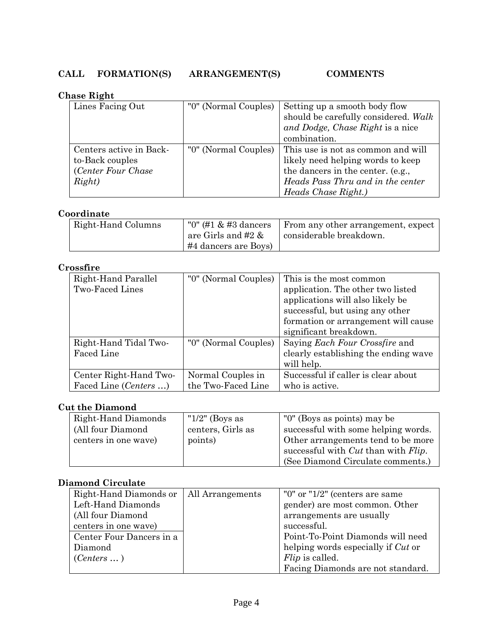### **Chase Right**

| TUDU TILETIV            |                      |                                      |
|-------------------------|----------------------|--------------------------------------|
| Lines Facing Out        | "0" (Normal Couples) | Setting up a smooth body flow        |
|                         |                      | should be carefully considered. Walk |
|                         |                      | and Dodge, Chase Right is a nice     |
|                         |                      | combination.                         |
| Centers active in Back- | "0" (Normal Couples) | This use is not as common and will   |
| to-Back couples         |                      | likely need helping words to keep    |
| (Center Four Chase)     |                      | the dancers in the center. (e.g.,    |
| Right)                  |                      | Heads Pass Thru and in the center    |
|                         |                      | Heads Chase Right.)                  |

# **Coordinate**

| Right-Hand Columns | "0" (#1 $\&$ #3 dancers | From any other arrangement, expect |
|--------------------|-------------------------|------------------------------------|
|                    | are Girls and #2 $\&$   | considerable breakdown.            |
|                    | $\#4$ dancers are Boys) |                                    |

# **Crossfire**

| Right-Hand Parallel    | "0" (Normal Couples) | This is the most common               |
|------------------------|----------------------|---------------------------------------|
| Two-Faced Lines        |                      | application. The other two listed     |
|                        |                      | applications will also likely be      |
|                        |                      | successful, but using any other       |
|                        |                      | formation or arrangement will cause   |
|                        |                      | significant breakdown.                |
| Right-Hand Tidal Two-  | "0" (Normal Couples) | Saying <i>Each Four Crossfire</i> and |
| Faced Line             |                      | clearly establishing the ending wave  |
|                        |                      | will help.                            |
| Center Right-Hand Two- | Normal Couples in    | Successful if caller is clear about   |
| Faced Line (Centers )  | the Two-Faced Line   | who is active.                        |

### **Cut the Diamond**

| Right-Hand Diamonds  | " $1/2$ " (Boys as | "0" (Boys as points) may be                        |
|----------------------|--------------------|----------------------------------------------------|
| (All four Diamond    | centers, Girls as  | successful with some helping words.                |
| centers in one wave) | points)            | Other arrangements tend to be more                 |
|                      |                    | successful with <i>Cut</i> than with <i>Flip</i> . |
|                      |                    | (See Diamond Circulate comments.)                  |

# **Diamond Circulate**

| Right-Hand Diamonds or   | All Arrangements | "0" or " $1/2$ " (centers are same |
|--------------------------|------------------|------------------------------------|
| Left-Hand Diamonds       |                  | gender) are most common. Other     |
| (All four Diamond)       |                  | arrangements are usually           |
| centers in one wave)     |                  | successful.                        |
| Center Four Dancers in a |                  | Point-To-Point Diamonds will need  |
| Diamond                  |                  | helping words especially if Cut or |
| $(Centers \dots)$        |                  | <i>Flip</i> is called.             |
|                          |                  | Facing Diamonds are not standard.  |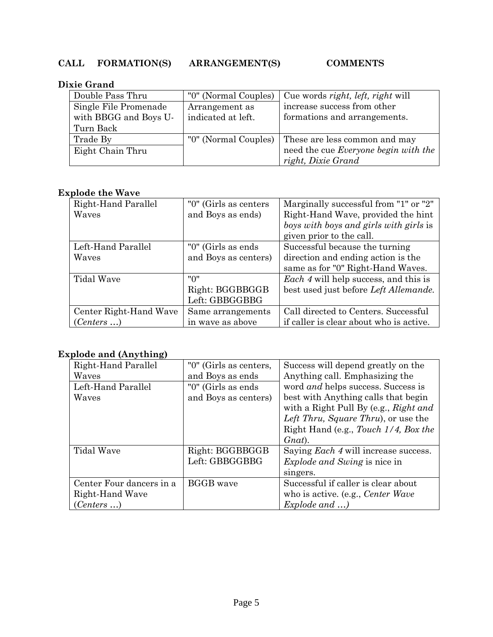# **Dixie Grand**

| Double Pass Thru      | "0" (Normal Couples) | Cue words right, left, right will    |
|-----------------------|----------------------|--------------------------------------|
| Single File Promenade | Arrangement as       | increase success from other          |
| with BBGG and Boys U- | indicated at left.   | formations and arrangements.         |
| Turn Back             |                      |                                      |
| Trade By              | "0" (Normal Couples) | These are less common and may        |
| Eight Chain Thru      |                      | need the cue Everyone begin with the |
|                       |                      | right, Dixie Grand                   |

### **Explode the Wave**

| $\mathbf{F}$           |                       |                                              |
|------------------------|-----------------------|----------------------------------------------|
| Right-Hand Parallel    | "0" (Girls as centers | Marginally successful from "1" or "2"        |
| Waves                  | and Boys as ends)     | Right-Hand Wave, provided the hint           |
|                        |                       | boys with boys and girls with girls is       |
|                        |                       | given prior to the call.                     |
| Left-Hand Parallel     | "0" (Girls as ends)   | Successful because the turning               |
| Waves                  | and Boys as centers)  | direction and ending action is the           |
|                        |                       | same as for "0" Right-Hand Waves.            |
| <b>Tidal Wave</b>      | "0"                   | <i>Each 4</i> will help success, and this is |
|                        | Right: BGGBBGGB       | best used just before Left Allemande.        |
|                        | Left: GBBGGBBG        |                                              |
| Center Right-Hand Wave | Same arrangements     | Call directed to Centers. Successful         |
| (Centers )             | in wave as above      | if caller is clear about who is active.      |

# **Explode and (Anything)**

| Right-Hand Parallel      | "0" (Girls as centers, | Success will depend greatly on the          |
|--------------------------|------------------------|---------------------------------------------|
| Waves                    | and Boys as ends       | Anything call. Emphasizing the              |
| Left-Hand Parallel       | "0" (Girls as ends     | word and helps success. Success is          |
| Waves                    | and Boys as centers)   | best with Anything calls that begin         |
|                          |                        | with a Right Pull By (e.g., Right and       |
|                          |                        | Left Thru, Square Thru), or use the         |
|                          |                        | Right Hand (e.g., Touch 1/4, Box the        |
|                          |                        | $G$ <i>nat</i> ).                           |
| <b>Tidal Wave</b>        | Right: BGGBBGGB        | Saying <i>Each 4</i> will increase success. |
|                          | Left: GBBGGBBG         | <i>Explode and Swing</i> is nice in         |
|                          |                        | singers.                                    |
| Center Four dancers in a | <b>BGGB</b> wave       | Successful if caller is clear about         |
| Right-Hand Wave          |                        | who is active. (e.g., <i>Center Wave</i>    |
| (Centers )               |                        | $Explode$ and $\ldots$ )                    |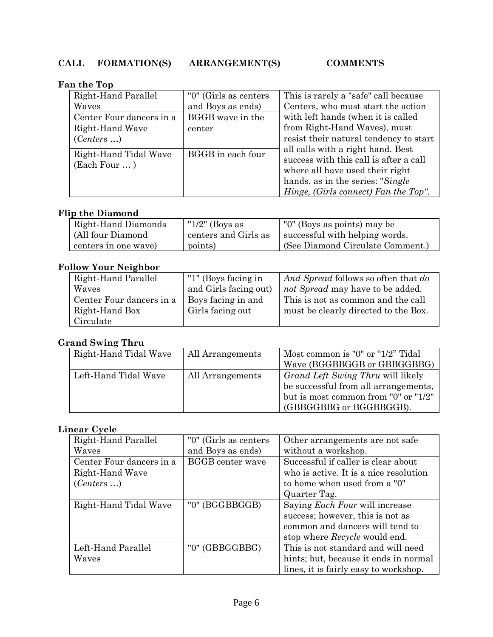### **Fan the Top**

| 11.32.5                               |                        |                                                                                                                                                                                             |
|---------------------------------------|------------------------|---------------------------------------------------------------------------------------------------------------------------------------------------------------------------------------------|
| Right-Hand Parallel                   | "0" (Girls as centers) | This is rarely a "safe" call because                                                                                                                                                        |
| Waves                                 | and Boys as ends)      | Centers, who must start the action                                                                                                                                                          |
| Center Four dancers in a              | BGGB wave in the       | with left hands (when it is called                                                                                                                                                          |
| Right-Hand Wave                       | center                 | from Right-Hand Waves), must                                                                                                                                                                |
| (Centers )                            |                        | resist their natural tendency to start                                                                                                                                                      |
| Right-Hand Tidal Wave<br>(Each Four ) | BGGB in each four      | all calls with a right hand. Best<br>success with this call is after a call<br>where all have used their right<br>hands, as in the series: "Single"<br>Hinge, (Girls connect) Fan the Top". |

# **Flip the Diamond**

| Right-Hand Diamonds  | " $1/2$ " (Boys as   | "0" (Boys as points) may be      |
|----------------------|----------------------|----------------------------------|
| (All four Diamond)   | centers and Girls as | successful with helping words.   |
| centers in one wave) | points)              | (See Diamond Circulate Comment.) |

# **Follow Your Neighbor**

| Right-Hand Parallel      | "1" (Boys facing in   | And Spread follows so often that do  |
|--------------------------|-----------------------|--------------------------------------|
| Waves                    | and Girls facing out) | not Spread may have to be added.     |
| Center Four dancers in a | Boys facing in and    | This is not as common and the call   |
| Right-Hand Box           | Girls facing out      | must be clearly directed to the Box. |
| Circulate                |                       |                                      |

# **Grand Swing Thru**

| Right-Hand Tidal Wave | All Arrangements | Most common is "0" or "1/2" Tidal    |
|-----------------------|------------------|--------------------------------------|
|                       |                  | Wave (BGGBBGGB or GBBGGBBG)          |
| Left-Hand Tidal Wave  | All Arrangements | Grand Left Swing Thru will likely    |
|                       |                  | be successful from all arrangements, |
|                       |                  | but is most common from "0" or "1/2" |
|                       |                  | (GBBGGBBG or BGGBBGGB).              |

# **Linear Cycle**

| Right-Hand Parallel      | "0" (Girls as centers)  | Other arrangements are not safe        |
|--------------------------|-------------------------|----------------------------------------|
| Waves                    | and Boys as ends)       | without a workshop.                    |
| Center Four dancers in a | <b>BGGB</b> center wave | Successful if caller is clear about    |
| Right-Hand Wave          |                         | who is active. It is a nice resolution |
| (Centers )               |                         | to home when used from a "0"           |
|                          |                         | Quarter Tag.                           |
| Right-Hand Tidal Wave    | "0" (BGGBBGGB)          | Saying <i>Each Four</i> will increase  |
|                          |                         | success; however, this is not as       |
|                          |                         | common and dancers will tend to        |
|                          |                         | stop where <i>Recycle</i> would end.   |
| Left-Hand Parallel       | "0" (GBBGGBBG)          | This is not standard and will need     |
| Waves                    |                         | hints; but, because it ends in normal  |
|                          |                         | lines, it is fairly easy to workshop.  |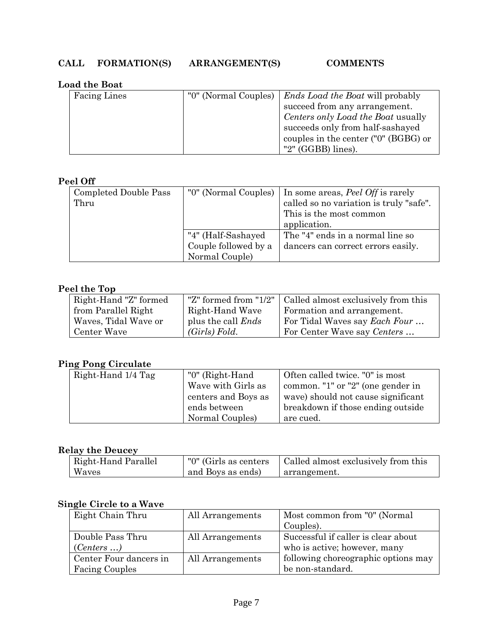#### **Load the Boat**

| Facing Lines | "0" (Normal Couples)   <i>Ends Load the Boat</i> will probably |
|--------------|----------------------------------------------------------------|
|              | succeed from any arrangement.                                  |
|              | Centers only Load the Boat usually                             |
|              | succeeds only from half-sashayed                               |
|              | couples in the center ("0" (BGBG) or                           |
|              | "2" $(GGBB)$ lines).                                           |

# **Peel Off**

| Completed Double Pass | "0" (Normal Couples) | In some areas, <i>Peel Off</i> is rarely |
|-----------------------|----------------------|------------------------------------------|
| Thru                  |                      | called so no variation is truly "safe".  |
|                       |                      | This is the most common                  |
|                       |                      | application.                             |
|                       | "4" (Half-Sashayed   | The "4" ends in a normal line so         |
|                       | Couple followed by a | dancers can correct errors easily.       |
|                       | Normal Couple)       |                                          |

# **Peel the Top**

| Right-Hand "Z" formed |                           | "Z" formed from "1/2"   Called almost exclusively from this |
|-----------------------|---------------------------|-------------------------------------------------------------|
| from Parallel Right   | Right-Hand Wave           | Formation and arrangement.                                  |
| Waves, Tidal Wave or  | plus the call <i>Ends</i> | For Tidal Waves say <i>Each Four</i>                        |
| Center Wave           | (Girls) Fold.             | For Center Wave say Centers                                 |

# **Ping Pong Circulate**

| Right-Hand 1/4 Tag | "0" (Right-Hand     | Often called twice. "0" is most    |
|--------------------|---------------------|------------------------------------|
|                    | Wave with Girls as  | common. "1" or "2" (one gender in  |
|                    | centers and Boys as | wave) should not cause significant |
|                    | ends between        | breakdown if those ending outside  |
|                    | Normal Couples)     | are cued.                          |

# **Relay the Deucey**

| Right-Hand Parallel | "0" (Girls as centers) | Called almost exclusively from this |
|---------------------|------------------------|-------------------------------------|
| Waves               | and Boys as ends)      | arrangement.                        |

# **Single Circle to a Wave**

| Eight Chain Thru       | All Arrangements | Most common from "0" (Normal        |
|------------------------|------------------|-------------------------------------|
|                        |                  | Couples).                           |
| Double Pass Thru       | All Arrangements | Successful if caller is clear about |
| (Centers )             |                  | who is active; however, many        |
| Center Four dancers in | All Arrangements | following choreographic options may |
| <b>Facing Couples</b>  |                  | be non-standard.                    |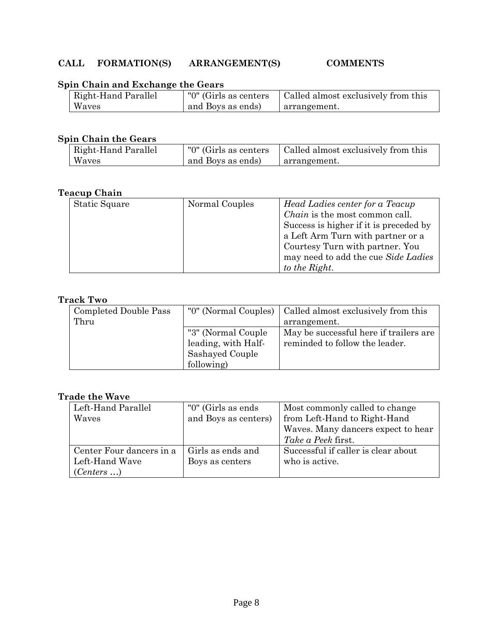# **Spin Chain and Exchange the Gears**

| Right-Hand Parallel | "0" (Girls as centers | Called almost exclusively from this |
|---------------------|-----------------------|-------------------------------------|
| Waves               | and Boys as ends)     | arrangement.                        |

# **Spin Chain the Gears**

| Right-Hand Parallel | "0" (Girls as centers | Called almost exclusively from this |
|---------------------|-----------------------|-------------------------------------|
| Waves               | and Boys as ends)     | arrangement.                        |

### **Teacup Chain**

| Static Square | Normal Couples | Head Ladies center for a Teacup        |
|---------------|----------------|----------------------------------------|
|               |                |                                        |
|               |                | <i>Chain</i> is the most common call.  |
|               |                | Success is higher if it is preceded by |
|               |                | a Left Arm Turn with partner or a      |
|               |                | Courtesy Turn with partner. You        |
|               |                | may need to add the cue Side Ladies    |
|               |                | to the Right.                          |

#### **Track Two**

| Completed Double Pass |                     | "0" (Normal Couples)   Called almost exclusively from this |
|-----------------------|---------------------|------------------------------------------------------------|
| Thru                  |                     | arrangement.                                               |
|                       | "3" (Normal Couple  | May be successful here if trailers are                     |
|                       | leading, with Half- | reminded to follow the leader.                             |
|                       | Sashayed Couple     |                                                            |
|                       | following)          |                                                            |

#### **Trade the Wave**

| Left-Hand Parallel       | "0" (Girls as ends   | Most commonly called to change      |
|--------------------------|----------------------|-------------------------------------|
| Waves                    | and Boys as centers) | from Left-Hand to Right-Hand        |
|                          |                      | Waves. Many dancers expect to hear  |
|                          |                      | <i>Take a Peek first.</i>           |
| Center Four dancers in a | Girls as ends and    | Successful if caller is clear about |
| Left-Hand Wave           | Boys as centers      | who is active.                      |
| (Centers )               |                      |                                     |